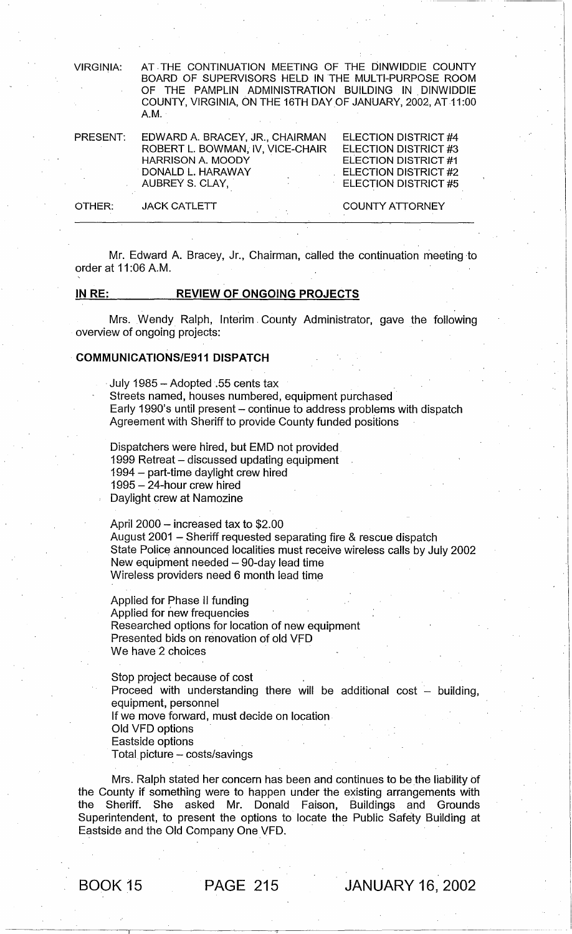VIRGINIA: AT .THE CONTINUATION MEETING OF THE DINWIDDIE COUNTY BOARD OF SUPERVISORS HELD IN THE MULTI-PURPOSE ROOM OF THE PAMPLIN ADMINISTRATION BUILDING IN. DINWIDDIE COUNTY, VIRGINIA, ON THE 16TH DAYOF JANUARY, 2002, AT 11:00 A.M.

| <b>PRESENT:</b> | EDWARD A. BRACEY, JR., CHAIRMAN<br>ROBERT L. BOWMAN, IV, VICE-CHAIR<br><b>HARRISON A. MOODY</b><br>DONALD L. HARAWAY<br>AUBREY S. CLAY, | ELECTION DISTRICT #4<br>ELECTION DISTRICT #3<br><b>ELECTION DISTRICT #1</b><br>$E$ ELECTION DISTRICT #2<br><b>ELECTION DISTRICT #5</b> |
|-----------------|-----------------------------------------------------------------------------------------------------------------------------------------|----------------------------------------------------------------------------------------------------------------------------------------|
| OTHER:          | <b>JACK CATLETT</b>                                                                                                                     | <b>COUNTY ATTORNEY</b>                                                                                                                 |

Mr. Edward A. Bracey, Jr., Chairman, called the continuation meeting to order at 11 :06 A.M.

# IN RE: REVIEW OF ONGOING PROJECTS

Mrs. Wendy Ralph, Interim. County Administrator, gave the following overview of ongoing projects:

#### COMMUNICATIONS/E911 DISPATCH

. July 1985 - Adopted.55 cents tax Streets named, houses numbered, equipment purchased' Early 1990's until present – continue to address problems with dispatch Agreement with Sheriff to provide County funded positions

Dispatchers were hired, but EMD not provided. 1999 Retreat - discussed updating equipment 1994 - part-time daylight crew hired 1995 – 24-hour crew hired Daylight crew at Namozine

April  $2000 -$  increased tax to \$2.00 August 2001 - Sheriff requested separating fire & rescue dispatch State Police announced localities must receive wireless calls by July 2002 New equipment needed  $-$  90-day lead time Wireless providers need 6 month lead time

Applied for Phase II funding Applied for new frequencies Researched options for location of new equipment Presented bids on renovation of old VFD We have 2 choices

Stop project because of cost Proceed with understanding there will be additional cost  $-$  building, equipment, personnel If we move forward, must decide on location Old VFD options Eastside options Total picture - costs/savings

Mrs. Ralph stated her concern has been and continues to be the liability bf the County if something were to happen under the existing arrangements with the Sheriff. She asked Mr. Donald Faison, Buildings and Grounds Superintendent, to present the options to locate the Public Safety Building at Eastside and the Old Company One VFD.

-----------------------------I----------------------------------~-------------------------------------------------

BOOK 15 PAGE 215 JANUARY 16, 2002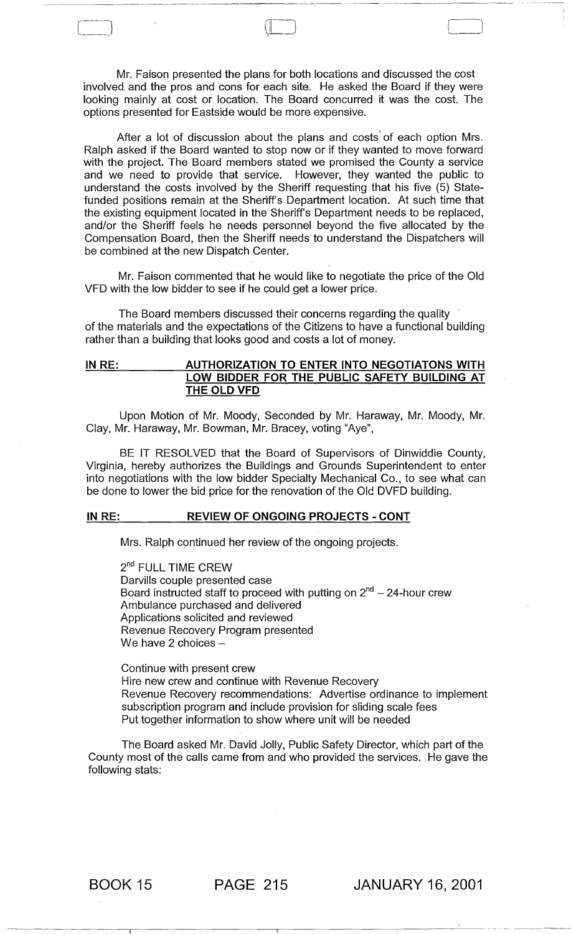Mr. Faison presented the plans for both locations and discussed the cost involved. and the pros and cons for each site. He asked the Board if they were looking mainly at cost or location. The Board concurred it was the cost. The options presented for Eastside would be more expensive.

 $\Box$ 

 $\Box$ 

After a lot of discussion about the plans and costs' of each option Mrs. Ralph asked if the Board wanted to stop now or if they wanted to move forward with the project. The Board members stated we promised the County a service and we need to provide that service. However, they wanted the public to understand the costs involved by the Sheriff requesting that his five (5) Statefunded positions remain at the Sheriff's. Department location. At such time that the existing equipment located in the Sheriff's Department needs to be replaced, and/or the Sheriff feels he needs personnel beyond the five allocated by the Compensation Board, then the Sheriff needs to understand the Dispatchers will be combined at the new Dispatch Center.

Mr. Faison commented that he would like to negotiate the price of the Old VFD with the low bidder to see if he could get a lower price.

The Board members discussed their concerns regarding the quality of the materials and the expectations of the Citizens to have a functional building rather than a building that looks good and costs a lot of money.

# IN RE: AUTHORIZATION TO ENTER INTO NEGOTIATONS WITH LOW BIDDER FOR THE PUBLIC SAFETY BUILDING AT THE OLD VFD

Upon Motion of Mr. Moody, Seconded by Mr. Haraway, Mr. Moody, Mr. Clay, Mr. Haraway, Mr. Bowman, Mr. Bracey, voting "Aye",

BE IT RESOLVED that the Board of Supervisors of Dinwiddie County, Virginia, hereby authorizes the Buildings and Grounds Superintendent to enter into negotiations with the low bidder Specialty Mechanical Co., to see what can be done to lower the bid price for the renovation of the Old DVFD building.

# IN RE: REVIEW OF ONGOING PROJECTS - CONT

Mrs. Ralph continued her review of the ongoing projects.

2<sup>nd</sup> FULL TIME CREW Darvills couple presented case Board instructed staff to proceed with putting on  $2<sup>nd</sup> - 24$ -hour crew Ambulance purchased and delivered Applications solicited and reviewed Revenue Recovery Program presented We have 2 choices  $-$ 

Continue with present crew Hire new crew and continue with Revenue Recovery Revenue Recovery recommendations: Advertise ordinance to implement subscription program and include provision for sliding scale fees Put together information to show where unit will be needed

The Board asked Mr. David Jolly, Public Safety Director, which part of the County most of the calls came from and who provided the services. He gave the following stats:

BOOK 15 PAGE 215 JANUARY 16, 2001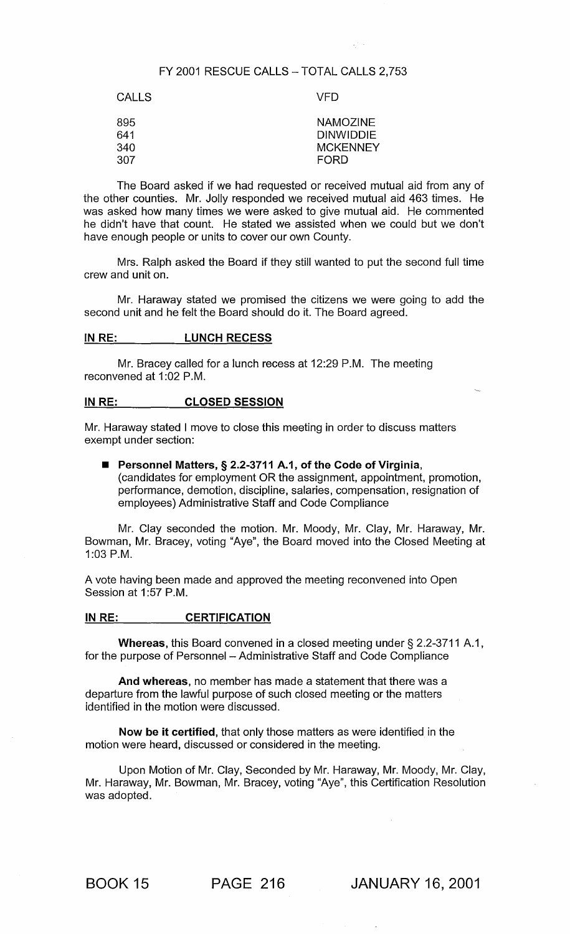# FY 2001 RESCUE CALLS - TOTAL CALLS 2,753

| <b>CALLS</b>             | VFD                                                            |
|--------------------------|----------------------------------------------------------------|
| 895<br>641<br>340<br>307 | <b>NAMOZINE</b><br><b>DINWIDDIE</b><br><b>MCKENNEY</b><br>FORD |
|                          |                                                                |

The Board asked if we had requested or received mutual aid from any of the other counties. Mr. Jolly responded we received mutual aid 463 times. He was asked how many times we were asked to give mutual aid. He commented he didn't have that count. He stated we assisted when we could but we don't have enough people or units to cover our own County.

Mrs. Ralph asked the Board if they still wanted to put the second full time crew and unit on.

Mr. Haraway stated we promised the citizens we were going to add the second unit and he felt the Board should do it. The Board agreed.

# IN RE: LUNCH RECESS

Mr. Bracey called for a lunch recess at 12:29 P.M. The meeting reconvened at 1:02 P.M.

#### IN RE: CLOSED SESSION

Mr. Haraway stated I move to close this meeting in order to discuss matters exempt under section:

■ Personnel Matters, § 2.2-3711 A.1, of the Code of Virginia, (candidates for employment OR the assignment, appointment, promotion, performance, demotion, discipline, salaries, compensation, resignation of employees) Administrative Staff and Code Compliance

Mr. Clay seconded the motion. Mr. Moody, Mr. Clay, Mr. Haraway, Mr. Bowman, Mr. Bracey, voting "Aye", the Board moved into the Closed Meeting at 1 :03 P.M.

A vote having been made and approved the meeting reconvened into Open Session at 1:57 P.M.

### IN RE: CERTIFICATION

Whereas, this Board convened in a closed meeting under § 2.2-3711 A.1, for the purpose of Personnel - Administrative Staff and Code Compliance

And whereas, no member has made a statement that there was a departure from the lawful purpose of such closed meeting or the matters identified in the motion were discussed.

Now be it certified, that only those matters as were identified in the motion were heard, discussed or considered in the meeting.

Upon Motion of Mr. Clay, Seconded by Mr. Haraway, Mr. Moody, Mr. Clay, Mr. Haraway, Mr. Bowman, Mr. Bracey, voting "Aye", this Certification Resolution was adopted.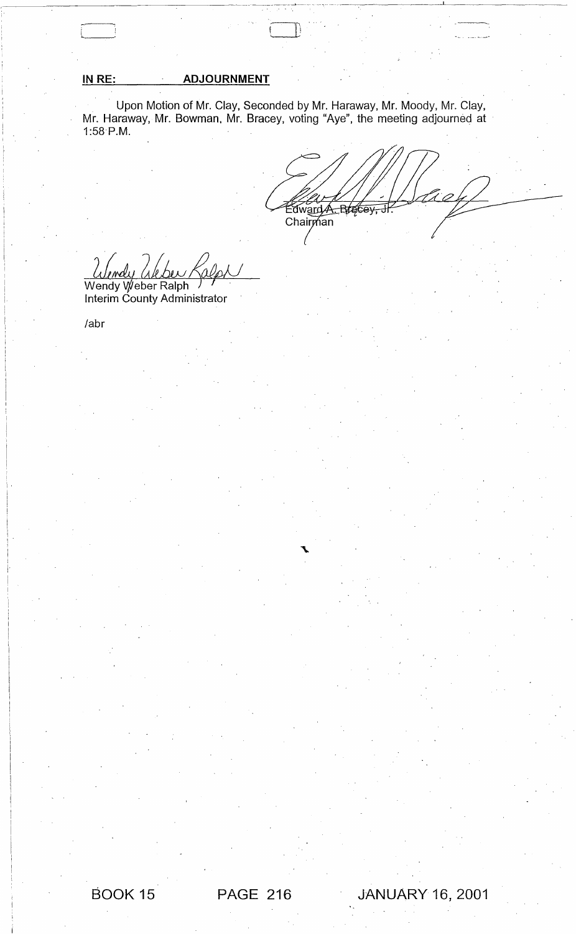# **IN** RE: **ADJOURNMENT**

Upon Motion of Mr. Clay, Seconded by Mr. Haraway, Mr. Moody, Mr. Clay, Mr. Haraway, Mr. Bowman. Mr. Bracey, voting "Aye", the meeting adjourned at 1:58 P.M.

Edward A. Brecey, Chairman

Wendy *(Akbu Kalph)*<br>Wendy Weber Ralph

Interim County Administrator

labr

 $\boxed{\phantom{1}}$ 

'i'

I I I